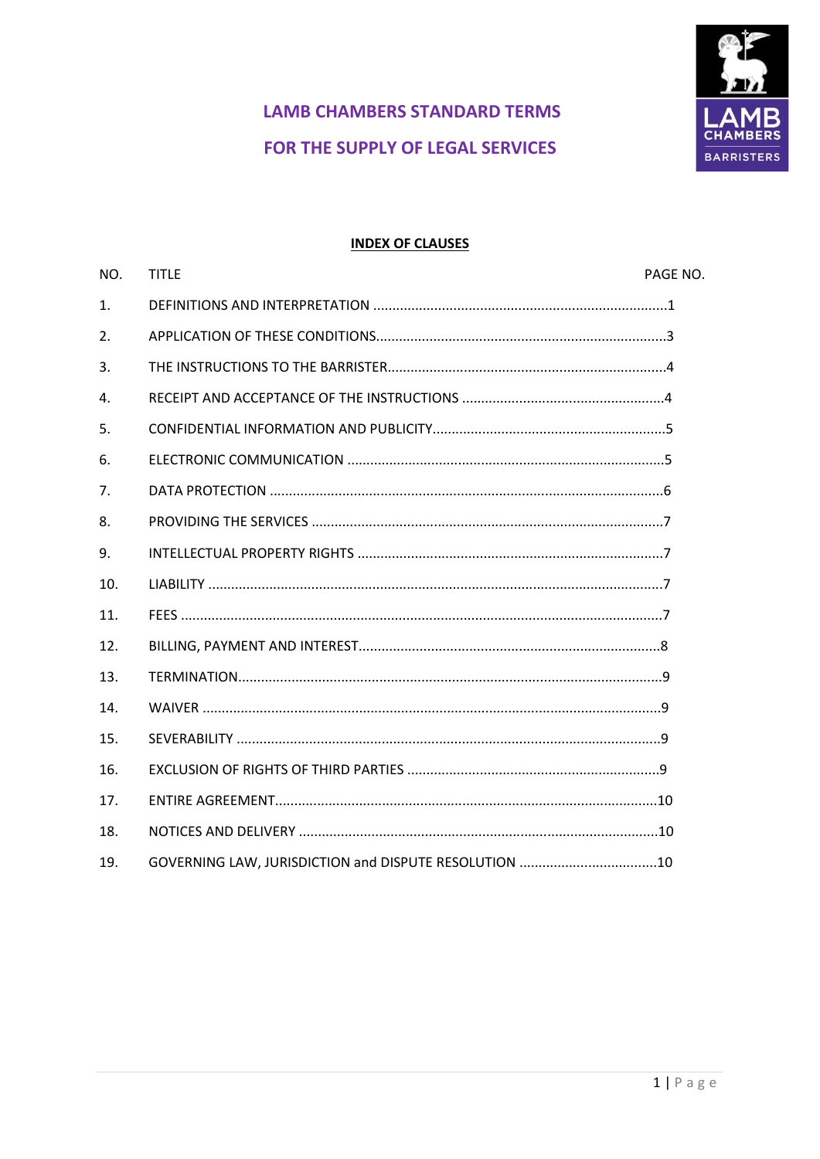

# **LAMB CHAMBERS STANDARD TERMS** FOR THE SUPPLY OF LEGAL SERVICES

#### **INDEX OF CLAUSES**

| NO.              | <b>TITLE</b>                                          | PAGE NO. |
|------------------|-------------------------------------------------------|----------|
| $\mathbf{1}$ .   |                                                       |          |
| $\overline{2}$ . |                                                       |          |
| 3.               |                                                       |          |
| $\mathbf{4}$ .   |                                                       |          |
| 5.               |                                                       |          |
| 6.               |                                                       |          |
| 7 <sub>1</sub>   |                                                       |          |
| 8.               |                                                       |          |
| 9.               |                                                       |          |
| 10.              |                                                       |          |
| 11.              |                                                       |          |
| 12.              |                                                       |          |
| 13.              |                                                       |          |
| 14.              |                                                       |          |
| 15.              |                                                       |          |
| 16.              |                                                       |          |
| 17.              |                                                       |          |
| 18.              |                                                       |          |
| 19.              | GOVERNING LAW, JURISDICTION and DISPUTE RESOLUTION 10 |          |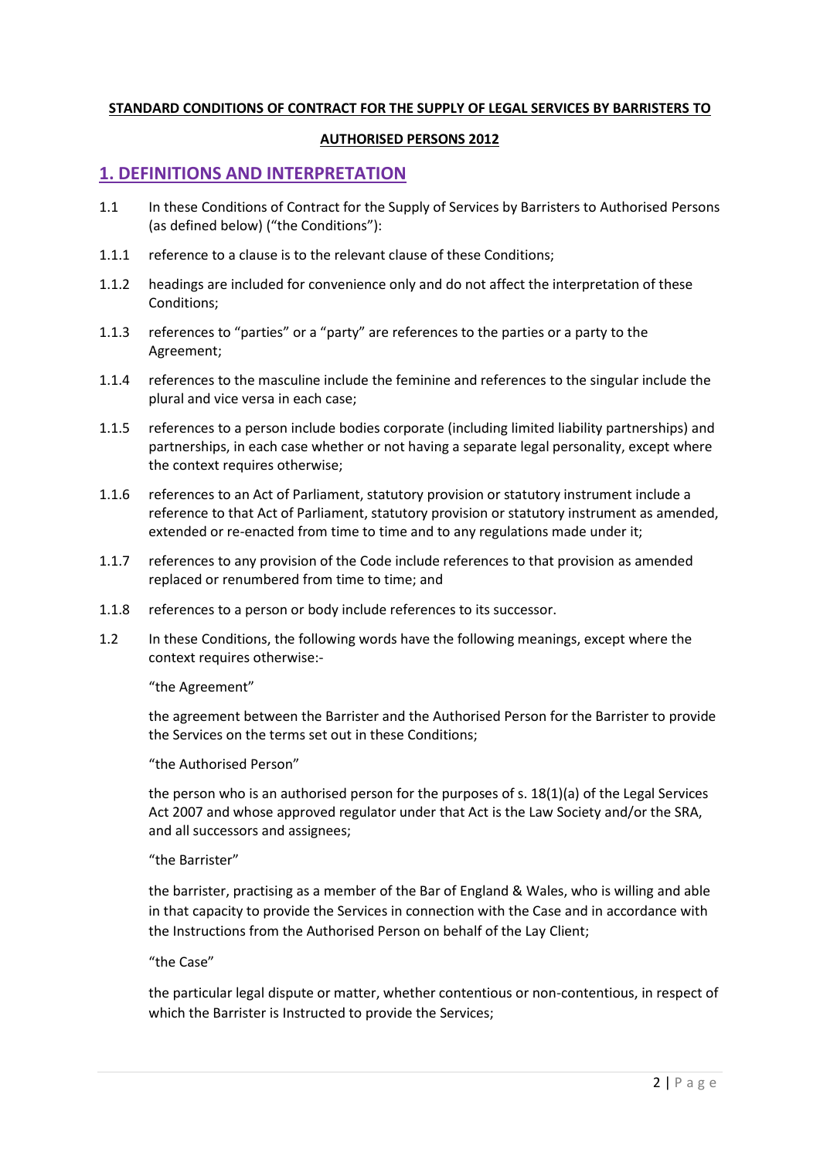#### **STANDARD CONDITIONS OF CONTRACT FOR THE SUPPLY OF LEGAL SERVICES BY BARRISTERS TO**

#### **AUTHORISED PERSONS 2012**

#### **1. DEFINITIONS AND INTERPRETATION**

- 1.1 In these Conditions of Contract for the Supply of Services by Barristers to Authorised Persons (as defined below) ("the Conditions"):
- 1.1.1 reference to a clause is to the relevant clause of these Conditions;
- 1.1.2 headings are included for convenience only and do not affect the interpretation of these Conditions;
- 1.1.3 references to "parties" or a "party" are references to the parties or a party to the Agreement;
- 1.1.4 references to the masculine include the feminine and references to the singular include the plural and vice versa in each case;
- 1.1.5 references to a person include bodies corporate (including limited liability partnerships) and partnerships, in each case whether or not having a separate legal personality, except where the context requires otherwise;
- 1.1.6 references to an Act of Parliament, statutory provision or statutory instrument include a reference to that Act of Parliament, statutory provision or statutory instrument as amended, extended or re-enacted from time to time and to any regulations made under it;
- 1.1.7 references to any provision of the Code include references to that provision as amended replaced or renumbered from time to time; and
- 1.1.8 references to a person or body include references to its successor.
- 1.2 In these Conditions, the following words have the following meanings, except where the context requires otherwise:-

#### "the Agreement"

the agreement between the Barrister and the Authorised Person for the Barrister to provide the Services on the terms set out in these Conditions;

#### "the Authorised Person"

the person who is an authorised person for the purposes of s. 18(1)(a) of the Legal Services Act 2007 and whose approved regulator under that Act is the Law Society and/or the SRA, and all successors and assignees;

#### "the Barrister"

the barrister, practising as a member of the Bar of England & Wales, who is willing and able in that capacity to provide the Services in connection with the Case and in accordance with the Instructions from the Authorised Person on behalf of the Lay Client;

#### "the Case"

the particular legal dispute or matter, whether contentious or non-contentious, in respect of which the Barrister is Instructed to provide the Services;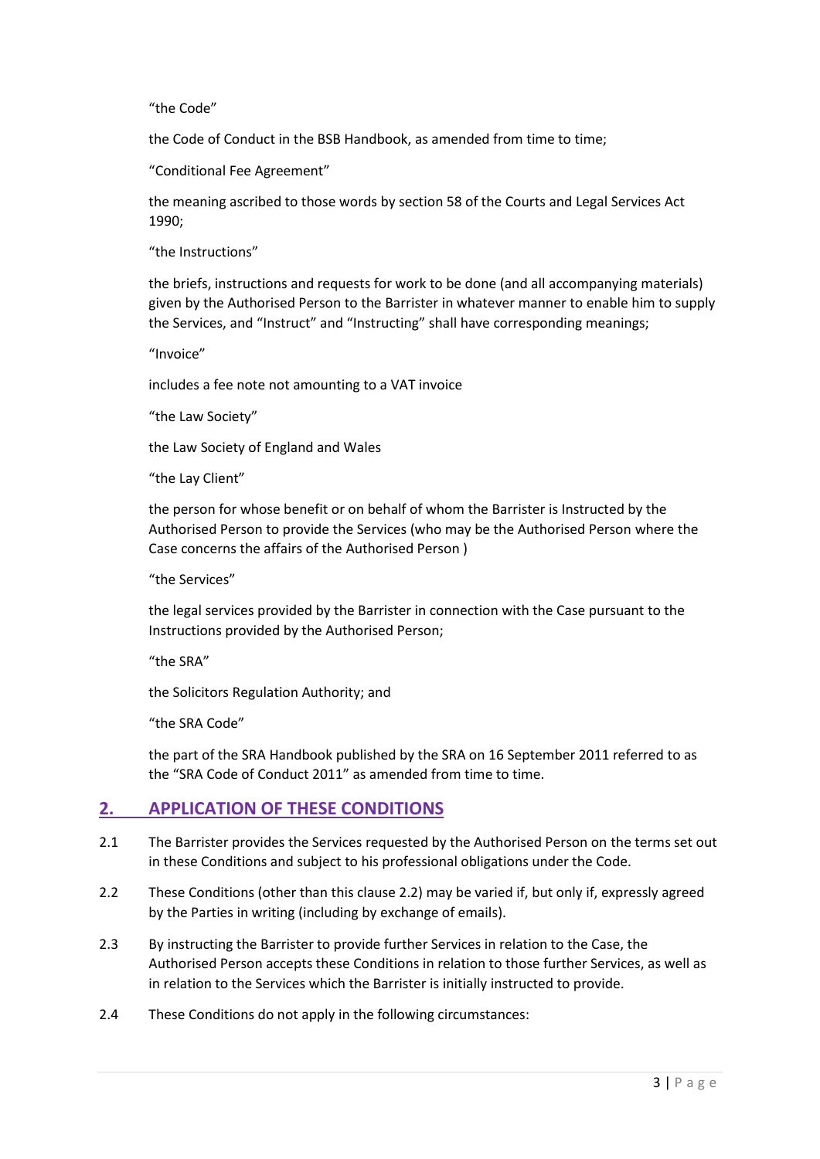#### "the Code"

the Code of Conduct in the BSB Handbook, as amended from time to time;

"Conditional Fee Agreement"

the meaning ascribed to those words by section 58 of the Courts and Legal Services Act 1990;

"the Instructions"

the briefs, instructions and requests for work to be done (and all accompanying materials) given by the Authorised Person to the Barrister in whatever manner to enable him to supply the Services, and "Instruct" and "Instructing" shall have corresponding meanings;

"Invoice"

includes a fee note not amounting to a VAT invoice

"the Law Society"

the Law Society of England and Wales

"the Lay Client"

the person for whose benefit or on behalf of whom the Barrister is Instructed by the Authorised Person to provide the Services (who may be the Authorised Person where the Case concerns the affairs of the Authorised Person )

"the Services"

the legal services provided by the Barrister in connection with the Case pursuant to the Instructions provided by the Authorised Person;

"the SRA"

the Solicitors Regulation Authority; and

"the SRA Code"

the part of the SRA Handbook published by the SRA on 16 September 2011 referred to as the "SRA Code of Conduct 2011" as amended from time to time.

### **2. APPLICATION OF THESE CONDITIONS**

- 2.1 The Barrister provides the Services requested by the Authorised Person on the terms set out in these Conditions and subject to his professional obligations under the Code.
- 2.2 These Conditions (other than this clause 2.2) may be varied if, but only if, expressly agreed by the Parties in writing (including by exchange of emails).
- 2.3 By instructing the Barrister to provide further Services in relation to the Case, the Authorised Person accepts these Conditions in relation to those further Services, as well as in relation to the Services which the Barrister is initially instructed to provide.
- 2.4 These Conditions do not apply in the following circumstances: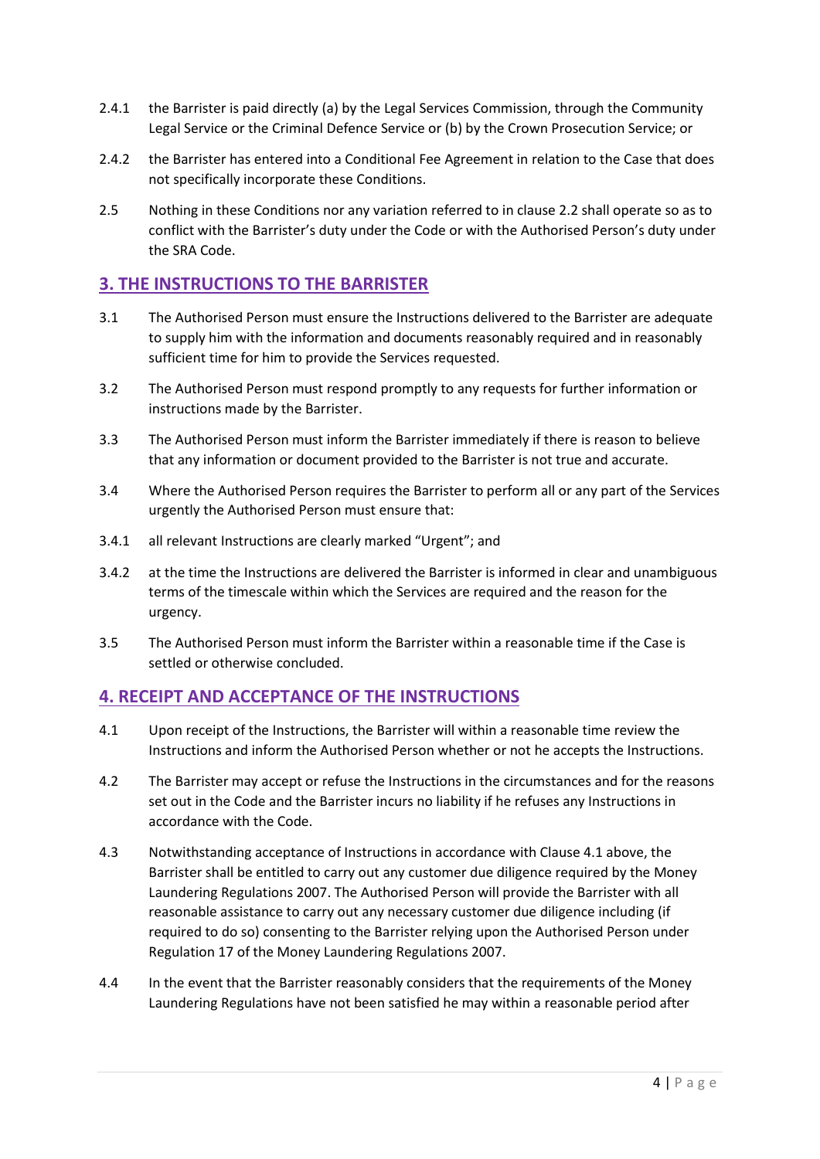- 2.4.1 the Barrister is paid directly (a) by the Legal Services Commission, through the Community Legal Service or the Criminal Defence Service or (b) by the Crown Prosecution Service; or
- 2.4.2 the Barrister has entered into a Conditional Fee Agreement in relation to the Case that does not specifically incorporate these Conditions.
- 2.5 Nothing in these Conditions nor any variation referred to in clause 2.2 shall operate so as to conflict with the Barrister's duty under the Code or with the Authorised Person's duty under the SRA Code.

### **3. THE INSTRUCTIONS TO THE BARRISTER**

- 3.1 The Authorised Person must ensure the Instructions delivered to the Barrister are adequate to supply him with the information and documents reasonably required and in reasonably sufficient time for him to provide the Services requested.
- 3.2 The Authorised Person must respond promptly to any requests for further information or instructions made by the Barrister.
- 3.3 The Authorised Person must inform the Barrister immediately if there is reason to believe that any information or document provided to the Barrister is not true and accurate.
- 3.4 Where the Authorised Person requires the Barrister to perform all or any part of the Services urgently the Authorised Person must ensure that:
- 3.4.1 all relevant Instructions are clearly marked "Urgent"; and
- 3.4.2 at the time the Instructions are delivered the Barrister is informed in clear and unambiguous terms of the timescale within which the Services are required and the reason for the urgency.
- 3.5 The Authorised Person must inform the Barrister within a reasonable time if the Case is settled or otherwise concluded.

# **4. RECEIPT AND ACCEPTANCE OF THE INSTRUCTIONS**

- 4.1 Upon receipt of the Instructions, the Barrister will within a reasonable time review the Instructions and inform the Authorised Person whether or not he accepts the Instructions.
- 4.2 The Barrister may accept or refuse the Instructions in the circumstances and for the reasons set out in the Code and the Barrister incurs no liability if he refuses any Instructions in accordance with the Code.
- 4.3 Notwithstanding acceptance of Instructions in accordance with Clause 4.1 above, the Barrister shall be entitled to carry out any customer due diligence required by the Money Laundering Regulations 2007. The Authorised Person will provide the Barrister with all reasonable assistance to carry out any necessary customer due diligence including (if required to do so) consenting to the Barrister relying upon the Authorised Person under Regulation 17 of the Money Laundering Regulations 2007.
- 4.4 In the event that the Barrister reasonably considers that the requirements of the Money Laundering Regulations have not been satisfied he may within a reasonable period after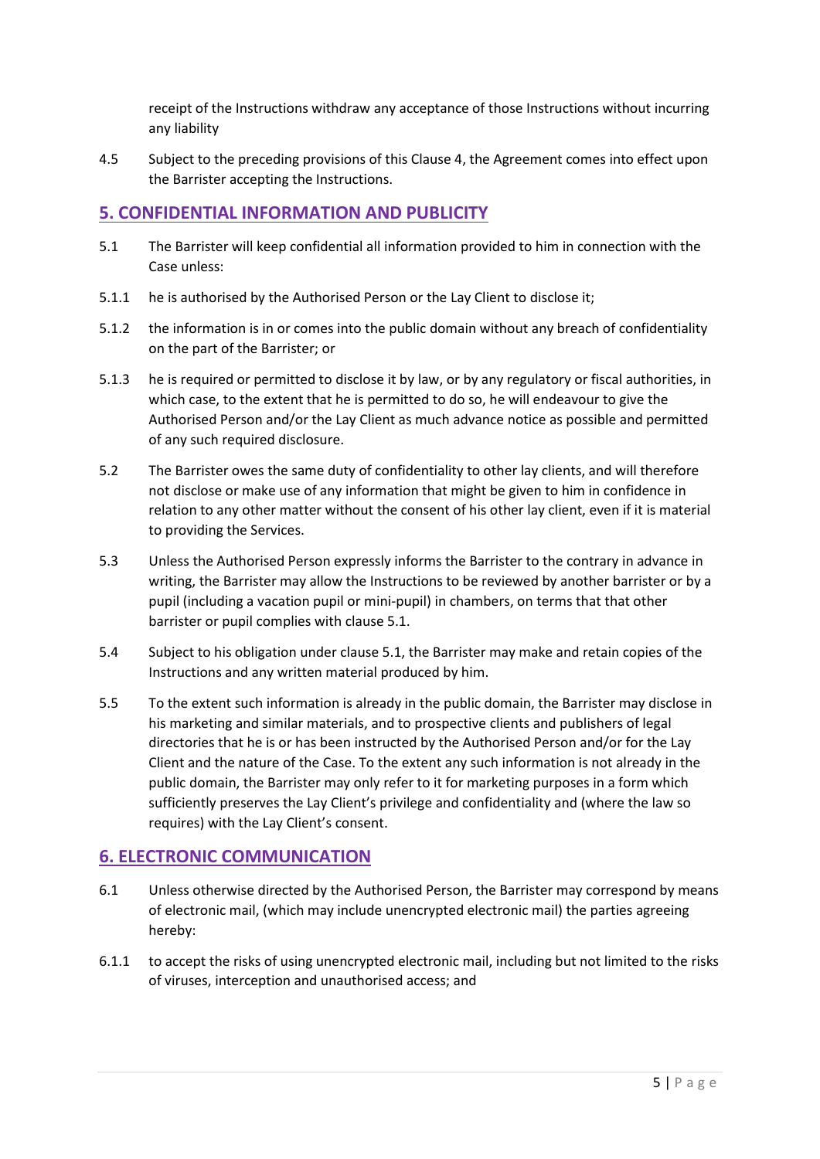receipt of the Instructions withdraw any acceptance of those Instructions without incurring any liability

4.5 Subject to the preceding provisions of this Clause 4, the Agreement comes into effect upon the Barrister accepting the Instructions.

### **5. CONFIDENTIAL INFORMATION AND PUBLICITY**

- 5.1 The Barrister will keep confidential all information provided to him in connection with the Case unless:
- 5.1.1 he is authorised by the Authorised Person or the Lay Client to disclose it;
- 5.1.2 the information is in or comes into the public domain without any breach of confidentiality on the part of the Barrister; or
- 5.1.3 he is required or permitted to disclose it by law, or by any regulatory or fiscal authorities, in which case, to the extent that he is permitted to do so, he will endeavour to give the Authorised Person and/or the Lay Client as much advance notice as possible and permitted of any such required disclosure.
- 5.2 The Barrister owes the same duty of confidentiality to other lay clients, and will therefore not disclose or make use of any information that might be given to him in confidence in relation to any other matter without the consent of his other lay client, even if it is material to providing the Services.
- 5.3 Unless the Authorised Person expressly informs the Barrister to the contrary in advance in writing, the Barrister may allow the Instructions to be reviewed by another barrister or by a pupil (including a vacation pupil or mini-pupil) in chambers, on terms that that other barrister or pupil complies with clause 5.1.
- 5.4 Subject to his obligation under clause 5.1, the Barrister may make and retain copies of the Instructions and any written material produced by him.
- 5.5 To the extent such information is already in the public domain, the Barrister may disclose in his marketing and similar materials, and to prospective clients and publishers of legal directories that he is or has been instructed by the Authorised Person and/or for the Lay Client and the nature of the Case. To the extent any such information is not already in the public domain, the Barrister may only refer to it for marketing purposes in a form which sufficiently preserves the Lay Client's privilege and confidentiality and (where the law so requires) with the Lay Client's consent.

# **6. ELECTRONIC COMMUNICATION**

- 6.1 Unless otherwise directed by the Authorised Person, the Barrister may correspond by means of electronic mail, (which may include unencrypted electronic mail) the parties agreeing hereby:
- 6.1.1 to accept the risks of using unencrypted electronic mail, including but not limited to the risks of viruses, interception and unauthorised access; and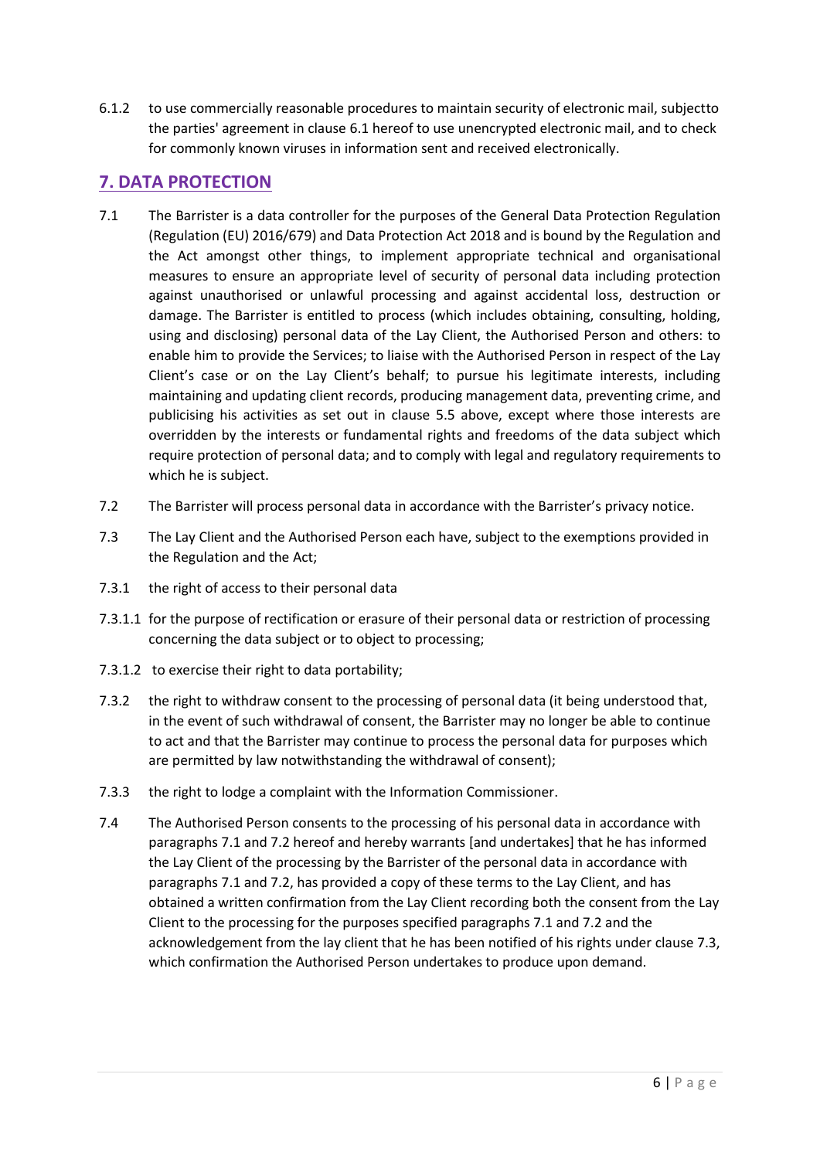6.1.2 to use commercially reasonable procedures to maintain security of electronic mail, subjectto the parties' agreement in clause 6.1 hereof to use unencrypted electronic mail, and to check for commonly known viruses in information sent and received electronically.

# **7. DATA PROTECTION**

- 7.1 The Barrister is a data controller for the purposes of the General Data Protection Regulation (Regulation (EU) 2016/679) and Data Protection Act 2018 and is bound by the Regulation and the Act amongst other things, to implement appropriate technical and organisational measures to ensure an appropriate level of security of personal data including protection against unauthorised or unlawful processing and against accidental loss, destruction or damage. The Barrister is entitled to process (which includes obtaining, consulting, holding, using and disclosing) personal data of the Lay Client, the Authorised Person and others: to enable him to provide the Services; to liaise with the Authorised Person in respect of the Lay Client's case or on the Lay Client's behalf; to pursue his legitimate interests, including maintaining and updating client records, producing management data, preventing crime, and publicising his activities as set out in clause 5.5 above, except where those interests are overridden by the interests or fundamental rights and freedoms of the data subject which require protection of personal data; and to comply with legal and regulatory requirements to which he is subject.
- 7.2 The Barrister will process personal data in accordance with the Barrister's privacy notice.
- 7.3 The Lay Client and the Authorised Person each have, subject to the exemptions provided in the Regulation and the Act;
- 7.3.1 the right of access to their personal data
- 7.3.1.1 for the purpose of rectification or erasure of their personal data or restriction of processing concerning the data subject or to object to processing;
- 7.3.1.2 to exercise their right to data portability;
- 7.3.2 the right to withdraw consent to the processing of personal data (it being understood that, in the event of such withdrawal of consent, the Barrister may no longer be able to continue to act and that the Barrister may continue to process the personal data for purposes which are permitted by law notwithstanding the withdrawal of consent);
- 7.3.3 the right to lodge a complaint with the Information Commissioner.
- 7.4 The Authorised Person consents to the processing of his personal data in accordance with paragraphs 7.1 and 7.2 hereof and hereby warrants [and undertakes] that he has informed the Lay Client of the processing by the Barrister of the personal data in accordance with paragraphs 7.1 and 7.2, has provided a copy of these terms to the Lay Client, and has obtained a written confirmation from the Lay Client recording both the consent from the Lay Client to the processing for the purposes specified paragraphs 7.1 and 7.2 and the acknowledgement from the lay client that he has been notified of his rights under clause 7.3, which confirmation the Authorised Person undertakes to produce upon demand.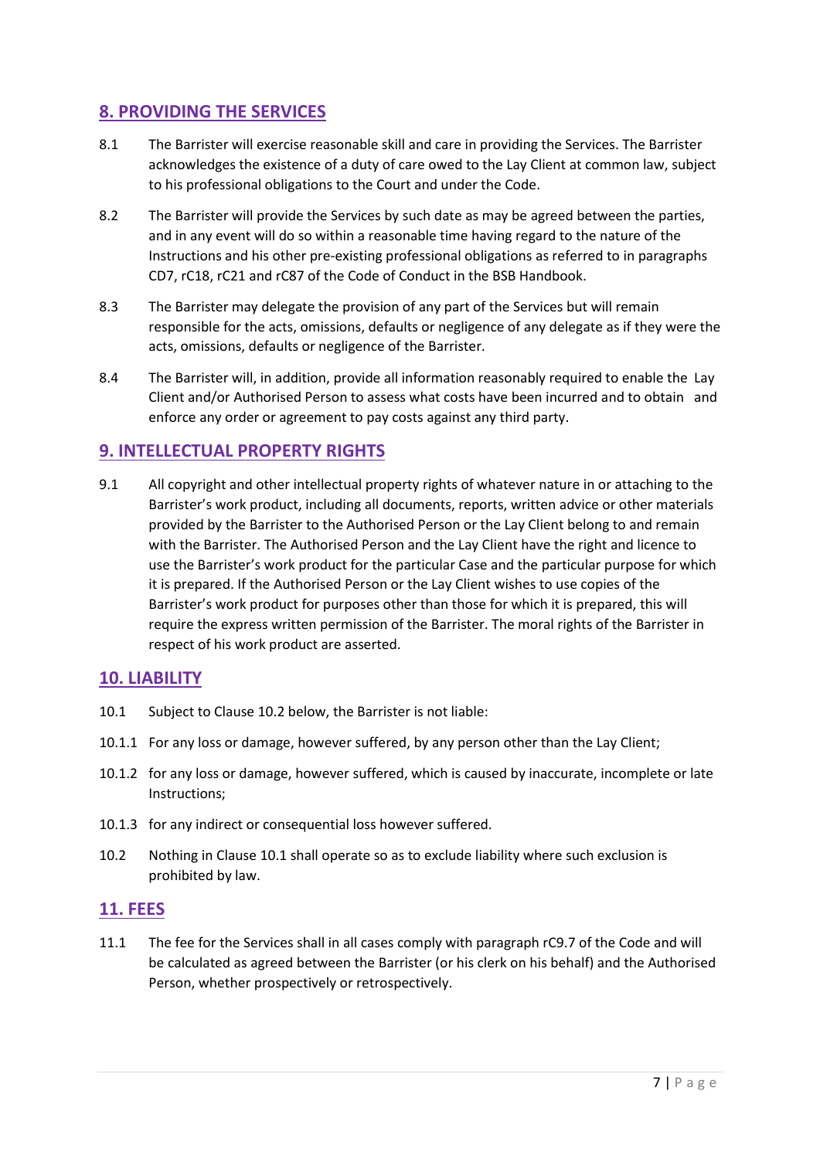# **8. PROVIDING THE SERVICES**

- 8.1 The Barrister will exercise reasonable skill and care in providing the Services. The Barrister acknowledges the existence of a duty of care owed to the Lay Client at common law, subject to his professional obligations to the Court and under the Code.
- 8.2 The Barrister will provide the Services by such date as may be agreed between the parties, and in any event will do so within a reasonable time having regard to the nature of the Instructions and his other pre-existing professional obligations as referred to in paragraphs CD7, rC18, rC21 and rC87 of the Code of Conduct in the BSB Handbook.
- 8.3 The Barrister may delegate the provision of any part of the Services but will remain responsible for the acts, omissions, defaults or negligence of any delegate as if they were the acts, omissions, defaults or negligence of the Barrister.
- 8.4 The Barrister will, in addition, provide all information reasonably required to enable the Lay Client and/or Authorised Person to assess what costs have been incurred and to obtain and enforce any order or agreement to pay costs against any third party.

# **9. INTELLECTUAL PROPERTY RIGHTS**

9.1 All copyright and other intellectual property rights of whatever nature in or attaching to the Barrister's work product, including all documents, reports, written advice or other materials provided by the Barrister to the Authorised Person or the Lay Client belong to and remain with the Barrister. The Authorised Person and the Lay Client have the right and licence to use the Barrister's work product for the particular Case and the particular purpose for which it is prepared. If the Authorised Person or the Lay Client wishes to use copies of the Barrister's work product for purposes other than those for which it is prepared, this will require the express written permission of the Barrister. The moral rights of the Barrister in respect of his work product are asserted.

# **10. LIABILITY**

- 10.1 Subject to Clause 10.2 below, the Barrister is not liable:
- 10.1.1 For any loss or damage, however suffered, by any person other than the Lay Client;
- 10.1.2 for any loss or damage, however suffered, which is caused by inaccurate, incomplete or late Instructions;
- 10.1.3 for any indirect or consequential loss however suffered.
- 10.2 Nothing in Clause 10.1 shall operate so as to exclude liability where such exclusion is prohibited by law.

# **11. FEES**

11.1 The fee for the Services shall in all cases comply with paragraph rC9.7 of the Code and will be calculated as agreed between the Barrister (or his clerk on his behalf) and the Authorised Person, whether prospectively or retrospectively.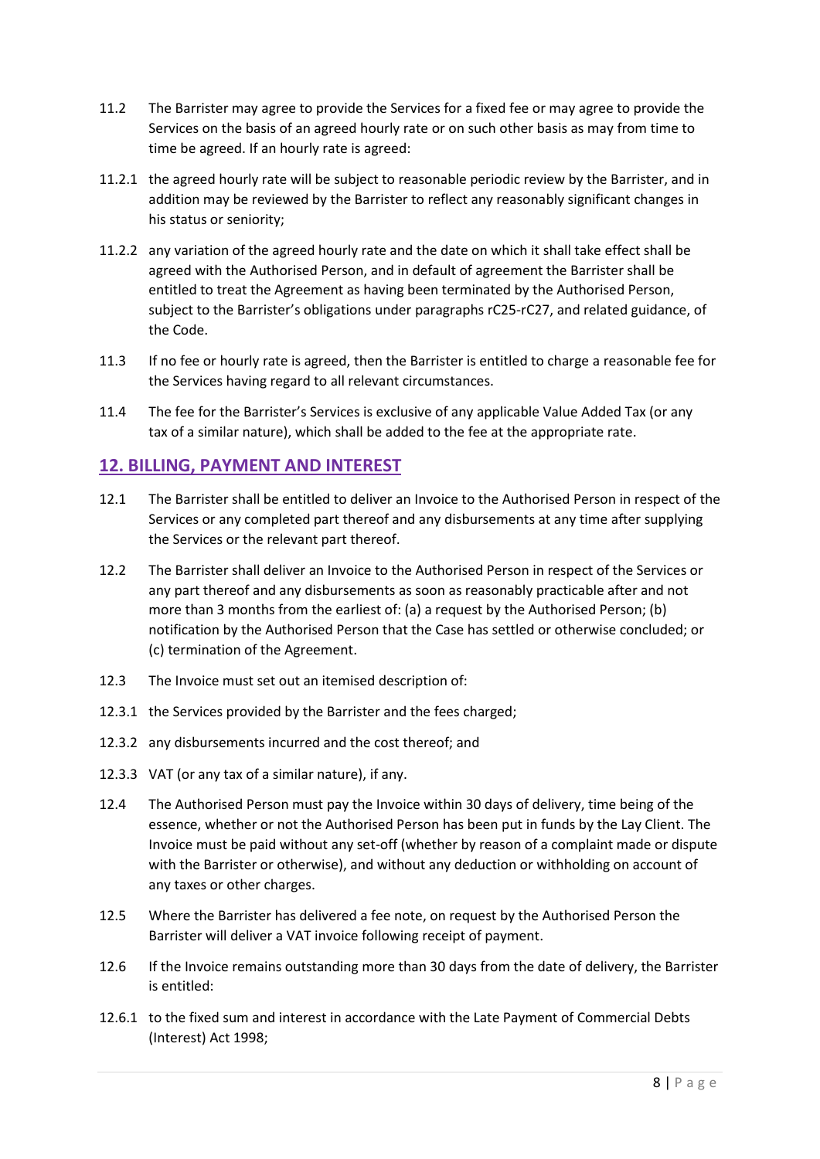- 11.2 The Barrister may agree to provide the Services for a fixed fee or may agree to provide the Services on the basis of an agreed hourly rate or on such other basis as may from time to time be agreed. If an hourly rate is agreed:
- 11.2.1 the agreed hourly rate will be subject to reasonable periodic review by the Barrister, and in addition may be reviewed by the Barrister to reflect any reasonably significant changes in his status or seniority;
- 11.2.2 any variation of the agreed hourly rate and the date on which it shall take effect shall be agreed with the Authorised Person, and in default of agreement the Barrister shall be entitled to treat the Agreement as having been terminated by the Authorised Person, subject to the Barrister's obligations under paragraphs rC25-rC27, and related guidance, of the Code.
- 11.3 If no fee or hourly rate is agreed, then the Barrister is entitled to charge a reasonable fee for the Services having regard to all relevant circumstances.
- 11.4 The fee for the Barrister's Services is exclusive of any applicable Value Added Tax (or any tax of a similar nature), which shall be added to the fee at the appropriate rate.

### **12. BILLING, PAYMENT AND INTEREST**

- 12.1 The Barrister shall be entitled to deliver an Invoice to the Authorised Person in respect of the Services or any completed part thereof and any disbursements at any time after supplying the Services or the relevant part thereof.
- 12.2 The Barrister shall deliver an Invoice to the Authorised Person in respect of the Services or any part thereof and any disbursements as soon as reasonably practicable after and not more than 3 months from the earliest of: (a) a request by the Authorised Person; (b) notification by the Authorised Person that the Case has settled or otherwise concluded; or (c) termination of the Agreement.
- 12.3 The Invoice must set out an itemised description of:
- 12.3.1 the Services provided by the Barrister and the fees charged;
- 12.3.2 any disbursements incurred and the cost thereof; and
- 12.3.3 VAT (or any tax of a similar nature), if any.
- 12.4 The Authorised Person must pay the Invoice within 30 days of delivery, time being of the essence, whether or not the Authorised Person has been put in funds by the Lay Client. The Invoice must be paid without any set-off (whether by reason of a complaint made or dispute with the Barrister or otherwise), and without any deduction or withholding on account of any taxes or other charges.
- 12.5 Where the Barrister has delivered a fee note, on request by the Authorised Person the Barrister will deliver a VAT invoice following receipt of payment.
- 12.6 If the Invoice remains outstanding more than 30 days from the date of delivery, the Barrister is entitled:
- 12.6.1 to the fixed sum and interest in accordance with the Late Payment of Commercial Debts (Interest) Act 1998;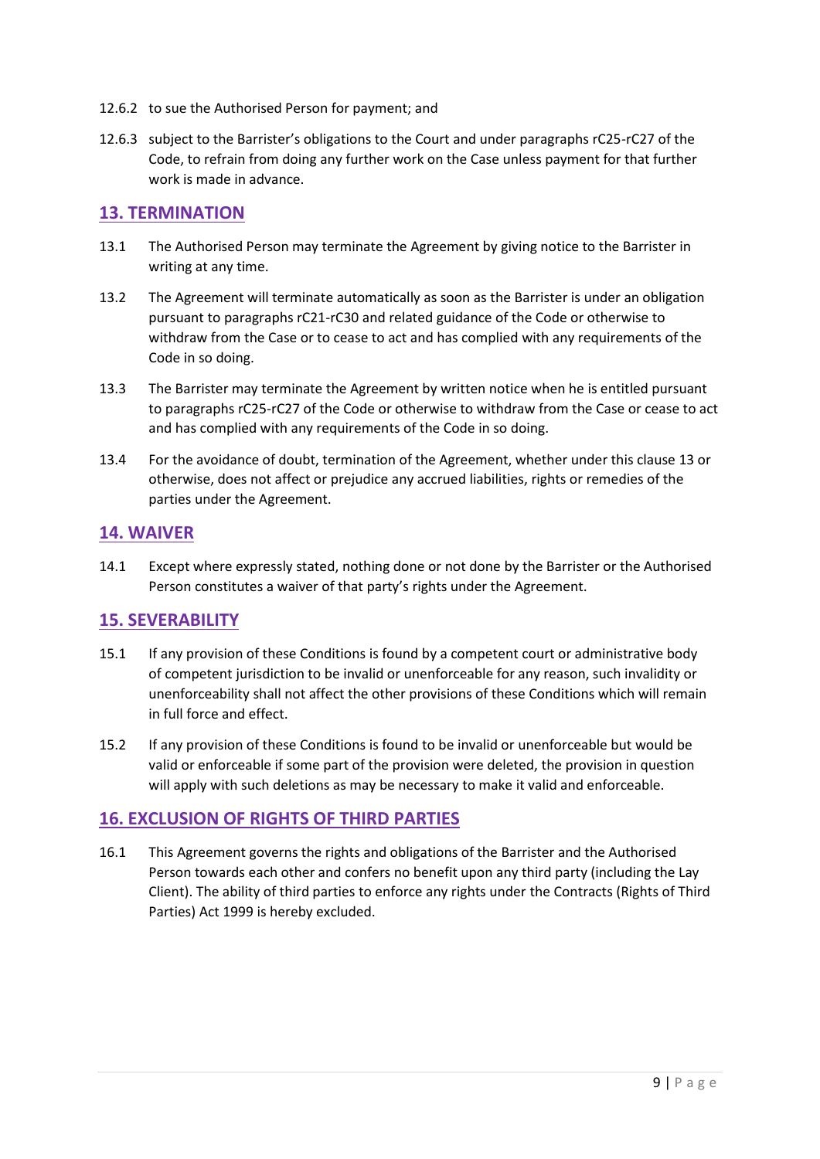- 12.6.2 to sue the Authorised Person for payment; and
- 12.6.3 subject to the Barrister's obligations to the Court and under paragraphs rC25-rC27 of the Code, to refrain from doing any further work on the Case unless payment for that further work is made in advance.

#### **13. TERMINATION**

- 13.1 The Authorised Person may terminate the Agreement by giving notice to the Barrister in writing at any time.
- 13.2 The Agreement will terminate automatically as soon as the Barrister is under an obligation pursuant to paragraphs rC21-rC30 and related guidance of the Code or otherwise to withdraw from the Case or to cease to act and has complied with any requirements of the Code in so doing.
- 13.3 The Barrister may terminate the Agreement by written notice when he is entitled pursuant to paragraphs rC25-rC27 of the Code or otherwise to withdraw from the Case or cease to act and has complied with any requirements of the Code in so doing.
- 13.4 For the avoidance of doubt, termination of the Agreement, whether under this clause 13 or otherwise, does not affect or prejudice any accrued liabilities, rights or remedies of the parties under the Agreement.

### **14. WAIVER**

14.1 Except where expressly stated, nothing done or not done by the Barrister or the Authorised Person constitutes a waiver of that party's rights under the Agreement.

### **15. SEVERABILITY**

- 15.1 If any provision of these Conditions is found by a competent court or administrative body of competent jurisdiction to be invalid or unenforceable for any reason, such invalidity or unenforceability shall not affect the other provisions of these Conditions which will remain in full force and effect.
- 15.2 If any provision of these Conditions is found to be invalid or unenforceable but would be valid or enforceable if some part of the provision were deleted, the provision in question will apply with such deletions as may be necessary to make it valid and enforceable.

### **16. EXCLUSION OF RIGHTS OF THIRD PARTIES**

16.1 This Agreement governs the rights and obligations of the Barrister and the Authorised Person towards each other and confers no benefit upon any third party (including the Lay Client). The ability of third parties to enforce any rights under the Contracts (Rights of Third Parties) Act 1999 is hereby excluded.